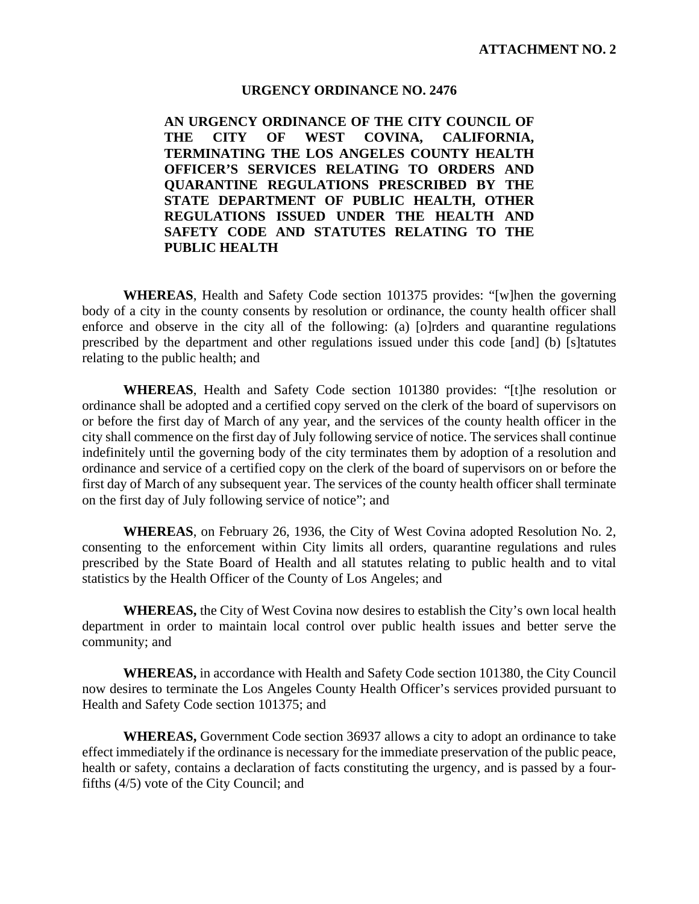## **URGENCY ORDINANCE NO. 2476**

**AN URGENCY ORDINANCE OF THE CITY COUNCIL OF THE CITY OF WEST COVINA, CALIFORNIA, TERMINATING THE LOS ANGELES COUNTY HEALTH OFFICER'S SERVICES RELATING TO ORDERS AND QUARANTINE REGULATIONS PRESCRIBED BY THE STATE DEPARTMENT OF PUBLIC HEALTH, OTHER REGULATIONS ISSUED UNDER THE HEALTH AND SAFETY CODE AND STATUTES RELATING TO THE PUBLIC HEALTH**

**WHEREAS**, Health and Safety Code section 101375 provides: "[w]hen the governing body of a city in the county consents by resolution or ordinance, the county health officer shall enforce and observe in the city all of the following: (a) [o]rders and quarantine regulations prescribed by the department and other regulations issued under this code [and] (b) [s]tatutes relating to the public health; and

**WHEREAS**, Health and Safety Code section 101380 provides: "[t]he resolution or ordinance shall be adopted and a certified copy served on the clerk of the board of supervisors on or before the first day of March of any year, and the services of the county health officer in the city shall commence on the first day of July following service of notice. The services shall continue indefinitely until the governing body of the city terminates them by adoption of a resolution and ordinance and service of a certified copy on the clerk of the board of supervisors on or before the first day of March of any subsequent year. The services of the county health officer shall terminate on the first day of July following service of notice"; and

**WHEREAS**, on February 26, 1936, the City of West Covina adopted Resolution No. 2, consenting to the enforcement within City limits all orders, quarantine regulations and rules prescribed by the State Board of Health and all statutes relating to public health and to vital statistics by the Health Officer of the County of Los Angeles; and

**WHEREAS,** the City of West Covina now desires to establish the City's own local health department in order to maintain local control over public health issues and better serve the community; and

**WHEREAS,** in accordance with Health and Safety Code section 101380, the City Council now desires to terminate the Los Angeles County Health Officer's services provided pursuant to Health and Safety Code section 101375; and

**WHEREAS,** Government Code section 36937 allows a city to adopt an ordinance to take effect immediately if the ordinance is necessary for the immediate preservation of the public peace, health or safety, contains a declaration of facts constituting the urgency, and is passed by a fourfifths (4/5) vote of the City Council; and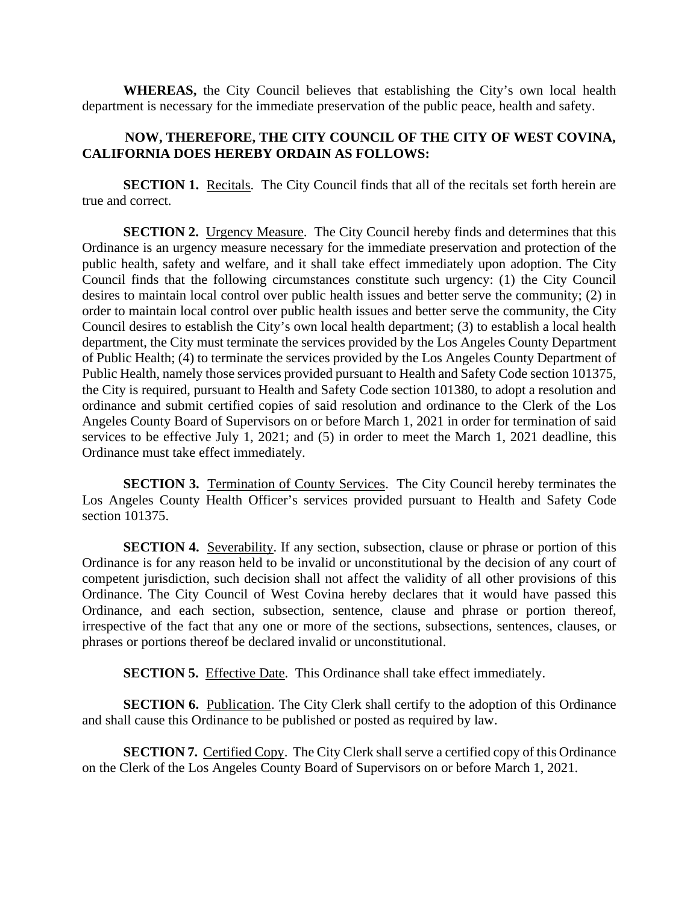**WHEREAS,** the City Council believes that establishing the City's own local health department is necessary for the immediate preservation of the public peace, health and safety.

## **NOW, THEREFORE, THE CITY COUNCIL OF THE CITY OF WEST COVINA, CALIFORNIA DOES HEREBY ORDAIN AS FOLLOWS:**

**SECTION 1.** Recitals. The City Council finds that all of the recitals set forth herein are true and correct.

**SECTION 2.** Urgency Measure. The City Council hereby finds and determines that this Ordinance is an urgency measure necessary for the immediate preservation and protection of the public health, safety and welfare, and it shall take effect immediately upon adoption. The City Council finds that the following circumstances constitute such urgency: (1) the City Council desires to maintain local control over public health issues and better serve the community; (2) in order to maintain local control over public health issues and better serve the community, the City Council desires to establish the City's own local health department; (3) to establish a local health department, the City must terminate the services provided by the Los Angeles County Department of Public Health; (4) to terminate the services provided by the Los Angeles County Department of Public Health, namely those services provided pursuant to Health and Safety Code section 101375, the City is required, pursuant to Health and Safety Code section 101380, to adopt a resolution and ordinance and submit certified copies of said resolution and ordinance to the Clerk of the Los Angeles County Board of Supervisors on or before March 1, 2021 in order for termination of said services to be effective July 1, 2021; and (5) in order to meet the March 1, 2021 deadline, this Ordinance must take effect immediately.

**SECTION 3.** Termination of County Services.The City Council hereby terminates the Los Angeles County Health Officer's services provided pursuant to Health and Safety Code section 101375.

**SECTION 4.** Severability. If any section, subsection, clause or phrase or portion of this Ordinance is for any reason held to be invalid or unconstitutional by the decision of any court of competent jurisdiction, such decision shall not affect the validity of all other provisions of this Ordinance. The City Council of West Covina hereby declares that it would have passed this Ordinance, and each section, subsection, sentence, clause and phrase or portion thereof, irrespective of the fact that any one or more of the sections, subsections, sentences, clauses, or phrases or portions thereof be declared invalid or unconstitutional.

**SECTION 5.** Effective Date. This Ordinance shall take effect immediately.

**SECTION 6.** Publication. The City Clerk shall certify to the adoption of this Ordinance and shall cause this Ordinance to be published or posted as required by law.

**SECTION 7.** Certified Copy. The City Clerk shall serve a certified copy of this Ordinance on the Clerk of the Los Angeles County Board of Supervisors on or before March 1, 2021.